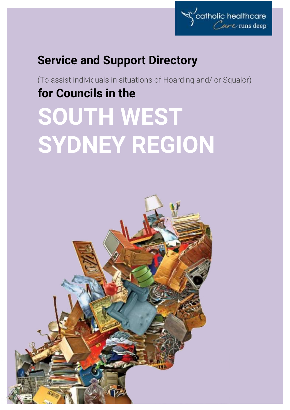

# **Service and Support Directory**

(To assist individuals in situations of Hoarding and/ or Squalor) **for Councils in the**

# **SOUTH WEST SYDNEY REGION**

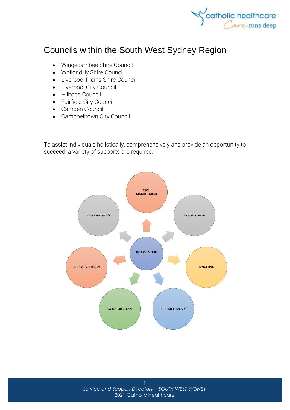

# Councils within the South West Sydney Region

- [Wingecarribee Shire Council](http://www.wsc.nsw.gov.au/)
- [Wollondilly Shire Council](http://www.wollondilly.nsw.gov.au/)
- [Liverpool Plains Shire Council](http://www.lpsc.nsw.gov.au/)
- [Liverpool City Council](http://www.liverpool.nsw.gov.au/)
- [Hilltops Council](http://hilltops.nsw.gov.au/)
- [Fairfield City Council](http://www.fairfieldcity.nsw.gov.au/)
- [Camden Council](http://www.camden.nsw.gov.au/)
- [Campbelltown City Council](http://www.campbelltown.nsw.gov.au/)

To assist individuals holistically, comprehensively and provide an opportunity to succeed, a variety of supports are required.

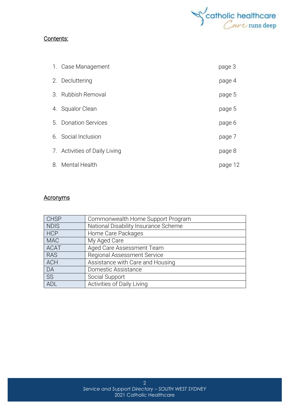

### Contents:

| 1. Case Management            | page 3  |
|-------------------------------|---------|
| 2. Decluttering               | page 4  |
| 3. Rubbish Removal            | page 5  |
| 4. Squalor Clean              | page 5  |
| 5. Donation Services          | page 6  |
| 6. Social Inclusion           | page 7  |
| 7. Activities of Daily Living | page 8  |
| 8. Mental Health              | page 12 |

# **Acronyms**

| <b>CHSP</b> | Commonwealth Home Support Program    |
|-------------|--------------------------------------|
| <b>NDIS</b> | National Disability Insurance Scheme |
| <b>HCP</b>  | Home Care Packages                   |
| <b>MAC</b>  | My Aged Care                         |
| <b>ACAT</b> | Aged Care Assessment Team            |
| <b>RAS</b>  | <b>Regional Assessment Service</b>   |
| <b>ACH</b>  | Assistance with Care and Housing     |
| DA          | Domestic Assistance                  |
| SS          | Social Support                       |
| ADL         | Activities of Daily Living           |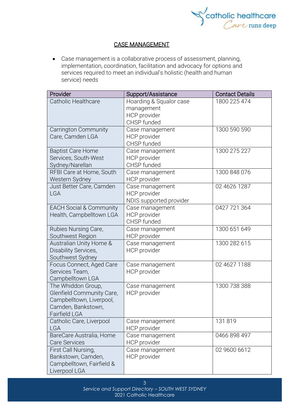

# CASE MANAGEMENT

• Case management is a collaborative process of assessment, planning, implementation, coordination, facilitation and advocacy for options and services required to meet an individual's holistic (health and human service) needs

| Provider                           | Support/Assistance      | <b>Contact Details</b> |
|------------------------------------|-------------------------|------------------------|
| Catholic Healthcare                | Hoarding & Squalor case | 1800 225 474           |
|                                    | management              |                        |
|                                    | HCP provider            |                        |
|                                    | CHSP funded             |                        |
| <b>Carrington Community</b>        | Case management         | 1300 590 590           |
| Care, Camden LGA                   | HCP provider            |                        |
|                                    | CHSP funded             |                        |
| <b>Baptist Care Home</b>           | Case management         | 1300 275 227           |
| Services, South-West               | <b>HCP</b> provider     |                        |
| Sydney/Narellan                    | CHSP funded             |                        |
| RFBI Care at Home, South           | Case management         | 1300 848 076           |
| Western Sydney                     | HCP provider            |                        |
| Just Better Care, Camden           | Case management         | 02 4626 1287           |
| <b>LGA</b>                         | HCP provider            |                        |
|                                    | NDIS supported provider |                        |
| <b>EACH Social &amp; Community</b> | Case management         | 0427 721 364           |
| Health, Campbelltown LGA           | HCP provider            |                        |
|                                    | CHSP funded             |                        |
| Rubies Nursing Care,               | Case management         | 1300 651 649           |
| Southwest Region                   | HCP provider            |                        |
| Australian Unity Home &            | Case management         | 1300 282 615           |
| Disability Services,               | HCP provider            |                        |
| Southwest Sydney                   |                         |                        |
| Focus Connect, Aged Care           | Case management         | 02 4627 1188           |
| Services Team,                     | HCP provider            |                        |
| Campbelltown LGA                   |                         |                        |
| The Whiddon Group,                 | Case management         | 1300 738 388           |
| Glenfield Community Care,          | HCP provider            |                        |
| Campbelltown, Liverpool,           |                         |                        |
| Camden, Bankstown,                 |                         |                        |
| Fairfield LGA                      |                         |                        |
| Catholic Care, Liverpool           | Case management         | 131819                 |
| <b>LGA</b>                         | HCP provider            |                        |
| BareCare Australia, Home           | Case management         | 0466 898 497           |
| <b>Care Services</b>               | HCP provider            |                        |
| First Call Nursing,                | Case management         | 02 9600 6612           |
| Bankstown, Camden,                 | HCP provider            |                        |
| Campbelltown, Fairfield &          |                         |                        |
| Liverpool LGA                      |                         |                        |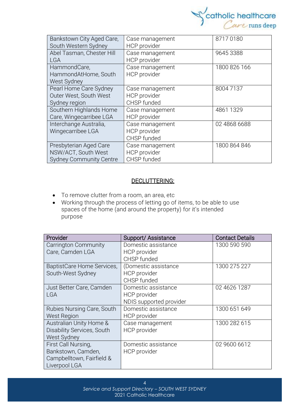

| Bankstown City Aged Care,<br>South Western Sydney                               | Case management<br><b>HCP</b> provider                | 87170180     |
|---------------------------------------------------------------------------------|-------------------------------------------------------|--------------|
| Abel Tasman, Chester Hill<br><b>LGA</b>                                         | Case management<br><b>HCP</b> provider                | 9645 3388    |
| HammondCare,<br>HammondAtHome, South<br>West Sydney                             | Case management<br><b>HCP</b> provider                | 1800 826 166 |
| Pearl Home Care Sydney<br>Outer West, South West<br>Sydney region               | Case management<br>HCP provider<br>CHSP funded        | 80047137     |
| Southern Highlands Home<br>Care, Wingecarribee LGA                              | Case management<br><b>HCP</b> provider                | 4861 1329    |
| Interchange Australia,<br>Wingecarribee LGA                                     | Case management<br><b>HCP</b> provider<br>CHSP funded | 02 4868 6688 |
| Presbyterian Aged Care<br>NSW/ACT, South West<br><b>Sydney Community Centre</b> | Case management<br><b>HCP</b> provider<br>CHSP funded | 1800 864 846 |

### DECLUTTERING:

- To remove clutter from a room, an area, etc
- Working through the process of letting go of items, to be able to use spaces of the home (and around the property) for it's intended purpose

| Provider                   | Support/Assistance      | <b>Contact Details</b> |
|----------------------------|-------------------------|------------------------|
| Carrington Community       | Domestic assistance     | 1300 590 590           |
| Care, Camden LGA           | HCP provider            |                        |
|                            | CHSP funded             |                        |
| BaptistCare Home Services, | (Domestic assistance    | 1300 275 227           |
| South-West Sydney          | <b>HCP</b> provider     |                        |
|                            | CHSP funded             |                        |
| Just Better Care, Camden   | Domestic assistance     | 02 4626 1287           |
| <b>LGA</b>                 | HCP provider            |                        |
|                            | NDIS supported provider |                        |
| Rubies Nursing Care, South | Domestic assistance     | 1300 651 649           |
| <b>West Region</b>         | HCP provider            |                        |
| Australian Unity Home &    | Case management         | 1300 282 615           |
| Disability Services, South | HCP provider            |                        |
| West Sydney                |                         |                        |
| First Call Nursing,        | Domestic assistance     | 02 9600 6612           |
| Bankstown, Camden,         | HCP provider            |                        |
| Campbelltown, Fairfield &  |                         |                        |
| Liverpool LGA              |                         |                        |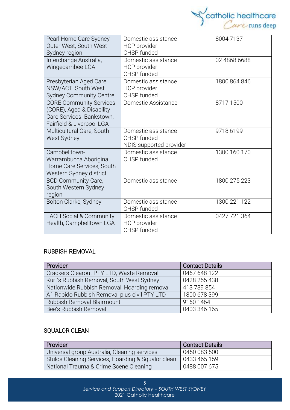

| Pearl Home Care Sydney<br>Outer West, South West<br>Sydney region                                                     | Domestic assistance<br>HCP provider<br>CHSP funded            | 80047137     |
|-----------------------------------------------------------------------------------------------------------------------|---------------------------------------------------------------|--------------|
| Interchange Australia,<br>Wingecarribee LGA                                                                           | Domestic assistance<br>HCP provider<br>CHSP funded            | 02 4868 6688 |
| Presbyterian Aged Care<br>NSW/ACT, South West<br><b>Sydney Community Centre</b>                                       | Domestic assistance<br>HCP provider<br>CHSP funded            | 1800 864 846 |
| <b>CORE Community Services</b><br>(CORE), Aged & Disability<br>Care Services. Bankstown,<br>Fairfield & Liverpool LGA | Domestic Assistance                                           | 87171500     |
| Multicultural Care, South<br>West Sydney                                                                              | Domestic assistance<br>CHSP funded<br>NDIS supported provider | 9718 6199    |
| Campbelltown-<br>Warrambucca Aboriginal<br>Home Care Services, South<br>Western Sydney district                       | Domestic assistance<br>CHSP funded                            | 1300 160 170 |
| <b>BCD Community Care,</b><br>South Western Sydney<br>region                                                          | Domestic assistance                                           | 1800 275 223 |
| Bolton Clarke, Sydney                                                                                                 | Domestic assistance<br>CHSP funded                            | 1300 221 122 |
| <b>EACH Social &amp; Community</b><br>Health, Campbelltown LGA                                                        | Domestic assistance<br>HCP provider<br>CHSP funded            | 0427 721 364 |

#### RUBBISH REMOVAL

| Provider                                     | <b>Contact Details</b> |  |
|----------------------------------------------|------------------------|--|
| Crackers Clearout PTY LTD, Waste Removal     | 0467 648 122           |  |
| Kurt's Rubbish Removal, South West Sydney    | 0428 255 438           |  |
| Nationwide Rubbish Removal, Hoarding removal | 413 739 854            |  |
| A1 Rapido Rubbish Removal plus civil PTY LTD | 1800 678 399           |  |
| Rubbish Removal Blairmount                   | 9160 1464              |  |
| Bee's Rubbish Removal                        | 0403 346 165           |  |

# **SQUALOR CLEAN**

| <b>Provider</b>                                    | <b>Contact Details</b> |  |
|----------------------------------------------------|------------------------|--|
| Universal group Australia, Cleaning services       | 0450 083 500           |  |
| Stulos Cleaning Services, Hoarding & Squalor clean | 0433 465 159           |  |
| National Trauma & Crime Scene Cleaning             | 0488 007 675           |  |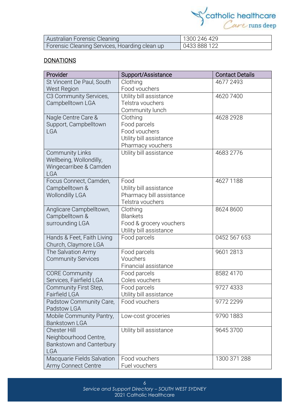

| Australian Forensic Cleaning                  | 1300 246 429 |
|-----------------------------------------------|--------------|
| Forensic Cleaning Services, Hoarding clean up | 0433 888 122 |

# **DONATIONS**

| Provider                                          | Support/Assistance             | <b>Contact Details</b> |
|---------------------------------------------------|--------------------------------|------------------------|
| St Vincent De Paul, South                         | Clothing                       | 4677 2493              |
| <b>West Region</b>                                | Food vouchers                  |                        |
| C3 Community Services,                            | Utility bill assistance        | 46207400               |
| Campbelltown LGA                                  | Telstra vouchers               |                        |
|                                                   | Community lunch                |                        |
| Nagle Centre Care &                               | Clothing                       | 4628 2928              |
| Support, Campbelltown                             | Food parcels                   |                        |
| <b>LGA</b>                                        | Food vouchers                  |                        |
|                                                   | Utility bill assistance        |                        |
|                                                   | Pharmacy vouchers              |                        |
| <b>Community Links</b>                            | Utility bill assistance        | 4683 2776              |
| Wellbeing, Wollondilly,<br>Wingecarribee & Camden |                                |                        |
| <b>LGA</b>                                        |                                |                        |
| Focus Connect, Camden,                            | Food                           | 4627 1188              |
| Campbelltown &                                    | Utility bill assistance        |                        |
| <b>Wollondilly LGA</b>                            | Pharmacy bill assistance       |                        |
|                                                   | Telstra vouchers               |                        |
| Anglicare Campbelltown,                           | Clothing                       | 8624 8600              |
| Campbelltown &                                    | <b>Blankets</b>                |                        |
| surrounding LGA                                   | Food & grocery vouchers        |                        |
|                                                   | Utility bill assistance        |                        |
| Hands & Feet, Faith Living                        | Food parcels                   | 0452 567 653           |
| Church, Claymore LGA                              |                                |                        |
| The Salvation Army                                | Food parcels                   | 9601 2813              |
| <b>Community Services</b>                         | Vouchers                       |                        |
|                                                   | Financial assistance           |                        |
| <b>CORE Community</b><br>Services, Fairfield LGA  | Food parcels<br>Coles vouchers | 8582 4170              |
| Community First Step,                             | Food parcels                   | 9727 4333              |
| <b>Fairfield LGA</b>                              | Utility bill assistance        |                        |
| Padstow Community Care,                           | Food vouchers                  | 9772 2299              |
| Padstow LGA                                       |                                |                        |
| Mobile Community Pantry,                          | Low-cost groceries             | 9790 1883              |
| <b>Bankstown LGA</b>                              |                                |                        |
| <b>Chester Hill</b>                               | Utility bill assistance        | 9645 3700              |
| Neighbourhood Centre,                             |                                |                        |
| Bankstown and Canterbury                          |                                |                        |
| <b>LGA</b>                                        |                                |                        |
| Macquarie Fields Salvation                        | Food vouchers                  | 1300 371 288           |
| Army Connect Centre                               | Fuel vouchers                  |                        |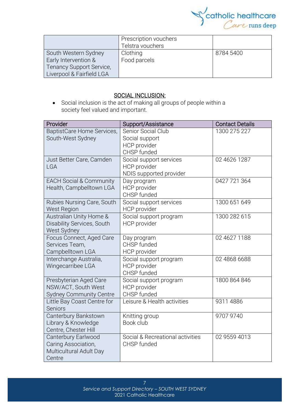

|                           | Prescription vouchers |           |
|---------------------------|-----------------------|-----------|
|                           | Telstra vouchers      |           |
| South Western Sydney      | Clothing              | 8784 5400 |
| Early Intervention &      | Food parcels          |           |
| Tenancy Support Service,  |                       |           |
| Liverpool & Fairfield LGA |                       |           |

# SOCIAL INCLUSION:

• Social [inclusion](https://www.collinsdictionary.com/dictionary/english/inclusion) is the act of making all groups of people within a society [feel](https://www.collinsdictionary.com/dictionary/english/feel) valued and [important.](https://www.collinsdictionary.com/dictionary/english/important)

| Provider                           | Support/Assistance               | <b>Contact Details</b> |
|------------------------------------|----------------------------------|------------------------|
| BaptistCare Home Services,         | Senior Social Club               | 1300 275 227           |
| South-West Sydney                  | Social support                   |                        |
|                                    | <b>HCP</b> provider              |                        |
|                                    | CHSP funded                      |                        |
| Just Better Care, Camden           | Social support services          | 02 4626 1287           |
| <b>LGA</b>                         | HCP provider                     |                        |
|                                    | NDIS supported provider          |                        |
| <b>EACH Social &amp; Community</b> | Day program                      | 0427 721 364           |
| Health, Campbelltown LGA           | <b>HCP</b> provider              |                        |
|                                    | CHSP funded                      |                        |
| Rubies Nursing Care, South         | Social support services          | 1300 651 649           |
| <b>West Region</b>                 | <b>HCP</b> provider              |                        |
| Australian Unity Home &            | Social support program           | 1300 282 615           |
| Disability Services, South         | <b>HCP</b> provider              |                        |
| West Sydney                        |                                  |                        |
| Focus Connect, Aged Care           | Day program                      | 02 4627 1188           |
| Services Team,                     | CHSP funded                      |                        |
| Campbelltown LGA                   | HCP provider                     |                        |
| Interchange Australia,             | Social support program           | 02 4868 6688           |
| Wingecarribee LGA                  | HCP provider                     |                        |
|                                    | CHSP funded                      |                        |
| Presbyterian Aged Care             | Social support program           | 1800 864 846           |
| NSW/ACT, South West                | <b>HCP</b> provider              |                        |
| <b>Sydney Community Centre</b>     | CHSP funded                      |                        |
| Little Bay Coast Centre for        | Leisure & Health activities      | 93114886               |
| Seniors                            |                                  |                        |
| Canterbury Bankstown               | Knitting group                   | 9707 9740              |
| Library & Knowledge                | Book club                        |                        |
| Centre, Chester Hill               |                                  |                        |
| Canterbury Earlwood                | Social & Recreational activities | 02 9559 4013           |
| Caring Association,                | CHSP funded                      |                        |
| Multicultural Adult Day            |                                  |                        |
| Centre                             |                                  |                        |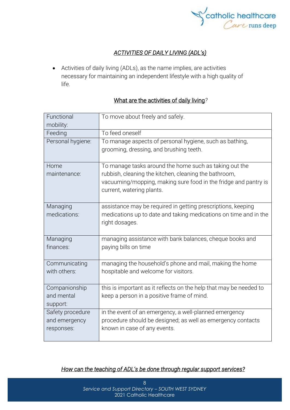

# *ACTIVITIES OF DAILY LIVING (ADL's)*

• Activities of daily living (ADLs), as the name implies, are activities necessary for maintaining an independent lifestyle with a high quality of life.

# What are the activities of daily living*?*

| Functional<br>mobility: | To move about freely and safely.                                                                   |  |
|-------------------------|----------------------------------------------------------------------------------------------------|--|
| Feeding                 | To feed oneself                                                                                    |  |
| Personal hygiene:       | To manage aspects of personal hygiene, such as bathing,<br>grooming, dressing, and brushing teeth. |  |
| Home                    | To manage tasks around the home such as taking out the                                             |  |
| maintenance:            | rubbish, cleaning the kitchen, cleaning the bathroom,                                              |  |
|                         | vacuuming/mopping, making sure food in the fridge and pantry is<br>current, watering plants.       |  |
| Managing                | assistance may be required in getting prescriptions, keeping                                       |  |
| medications:            | medications up to date and taking medications on time and in the                                   |  |
|                         | right dosages.                                                                                     |  |
| Managing                | managing assistance with bank balances, cheque books and                                           |  |
| finances:               | paying bills on time                                                                               |  |
| Communicating           | managing the household's phone and mail, making the home                                           |  |
| with others:            | hospitable and welcome for visitors.                                                               |  |
| Companionship           | this is important as it reflects on the help that may be needed to                                 |  |
| and mental              | keep a person in a positive frame of mind.                                                         |  |
| support:                |                                                                                                    |  |
| Safety procedure        | in the event of an emergency, a well-planned emergency                                             |  |
| and emergency           | procedure should be designed; as well as emergency contacts                                        |  |
| responses:              | known in case of any events.                                                                       |  |

# *How can the teaching of ADL's be done through regular support services?*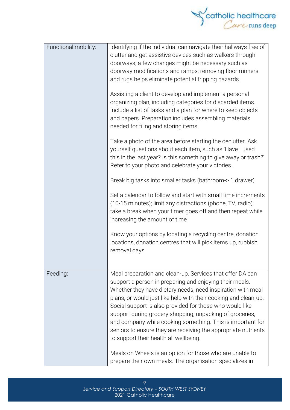

| Functional mobility: | Identifying if the individual can navigate their hallways free of<br>clutter and get assistive devices such as walkers through<br>doorways; a few changes might be necessary such as<br>doorway modifications and ramps; removing floor runners<br>and rugs helps eliminate potential tripping hazards.<br>Assisting a client to develop and implement a personal<br>organizing plan, including categories for discarded items.<br>Include a list of tasks and a plan for where to keep objects<br>and papers. Preparation includes assembling materials<br>needed for filing and storing items.<br>Take a photo of the area before starting the declutter. Ask<br>yourself questions about each item, such as 'Have I used<br>this in the last year? Is this something to give away or trash?'<br>Refer to your photo and celebrate your victories.<br>Break big tasks into smaller tasks (bathroom-> 1 drawer)<br>Set a calendar to follow and start with small time increments<br>(10-15 minutes); limit any distractions (phone, TV, radio);<br>take a break when your timer goes off and then repeat while<br>increasing the amount of time |
|----------------------|--------------------------------------------------------------------------------------------------------------------------------------------------------------------------------------------------------------------------------------------------------------------------------------------------------------------------------------------------------------------------------------------------------------------------------------------------------------------------------------------------------------------------------------------------------------------------------------------------------------------------------------------------------------------------------------------------------------------------------------------------------------------------------------------------------------------------------------------------------------------------------------------------------------------------------------------------------------------------------------------------------------------------------------------------------------------------------------------------------------------------------------------------|
|                      | Know your options by locating a recycling centre, donation<br>locations, donation centres that will pick items up, rubbish<br>removal days                                                                                                                                                                                                                                                                                                                                                                                                                                                                                                                                                                                                                                                                                                                                                                                                                                                                                                                                                                                                       |
| Feeding:             | Meal preparation and clean-up. Services that offer DA can<br>support a person in preparing and enjoying their meals.<br>Whether they have dietary needs, need inspiration with meal<br>plans, or would just like help with their cooking and clean-up.<br>Social support is also provided for those who would like<br>support during grocery shopping, unpacking of groceries,<br>and company while cooking something. This is important for<br>seniors to ensure they are receiving the appropriate nutrients<br>to support their health all wellbeing.<br>Meals on Wheels is an option for those who are unable to<br>prepare their own meals. The organisation specializes in                                                                                                                                                                                                                                                                                                                                                                                                                                                                 |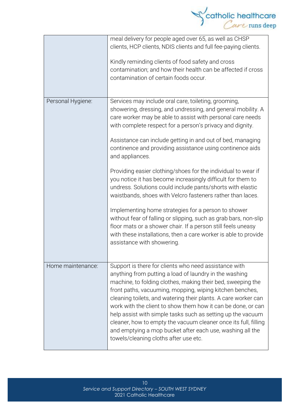

|                   | meal delivery for people aged over 65, as well as CHSP<br>clients, HCP clients, NDIS clients and full fee-paying clients.<br>Kindly reminding clients of food safety and cross<br>contamination; and how their health can be affected if cross<br>contamination of certain foods occur.                                                                                                                                                                                                                                                                                                                              |
|-------------------|----------------------------------------------------------------------------------------------------------------------------------------------------------------------------------------------------------------------------------------------------------------------------------------------------------------------------------------------------------------------------------------------------------------------------------------------------------------------------------------------------------------------------------------------------------------------------------------------------------------------|
| Personal Hygiene: | Services may include oral care, toileting, grooming,<br>showering, dressing, and undressing, and general mobility. A<br>care worker may be able to assist with personal care needs<br>with complete respect for a person's privacy and dignity.<br>Assistance can include getting in and out of bed, managing<br>continence and providing assistance using continence aids<br>and appliances.                                                                                                                                                                                                                        |
|                   | Providing easier clothing/shoes for the individual to wear if<br>you notice it has become increasingly difficult for them to<br>undress. Solutions could include pants/shorts with elastic<br>waistbands, shoes with Velcro fasteners rather than laces.                                                                                                                                                                                                                                                                                                                                                             |
|                   | Implementing home strategies for a person to shower<br>without fear of falling or slipping, such as grab bars, non-slip<br>floor mats or a shower chair. If a person still feels uneasy<br>with these installations, then a care worker is able to provide<br>assistance with showering.                                                                                                                                                                                                                                                                                                                             |
| Home maintenance: | Support is there for clients who need assistance with<br>anything from putting a load of laundry in the washing<br>machine, to folding clothes, making their bed, sweeping the<br>front paths, vacuuming, mopping, wiping kitchen benches,<br>cleaning toilets, and watering their plants. A care worker can<br>work with the client to show them how it can be done, or can<br>help assist with simple tasks such as setting up the vacuum<br>cleaner, how to empty the vacuum cleaner once its full, filling<br>and emptying a mop bucket after each use, washing all the<br>towels/cleaning cloths after use etc. |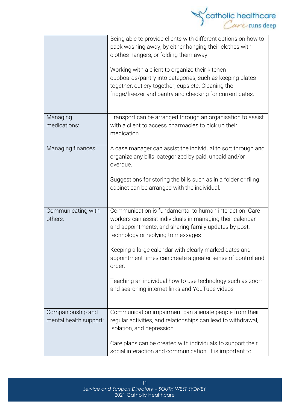

|                                             | Being able to provide clients with different options on how to<br>pack washing away, by either hanging their clothes with<br>clothes hangers, or folding them away.<br>Working with a client to organize their kitchen<br>cupboards/pantry into categories, such as keeping plates<br>together, cutlery together, cups etc. Cleaning the<br>fridge/freezer and pantry and checking for current dates.                                                                  |
|---------------------------------------------|------------------------------------------------------------------------------------------------------------------------------------------------------------------------------------------------------------------------------------------------------------------------------------------------------------------------------------------------------------------------------------------------------------------------------------------------------------------------|
| Managing<br>medications:                    | Transport can be arranged through an organisation to assist<br>with a client to access pharmacies to pick up their<br>medication.                                                                                                                                                                                                                                                                                                                                      |
| Managing finances:                          | A case manager can assist the individual to sort through and<br>organize any bills, categorized by paid, unpaid and/or<br>overdue.<br>Suggestions for storing the bills such as in a folder or filing<br>cabinet can be arranged with the individual.                                                                                                                                                                                                                  |
| Communicating with<br>others:               | Communication is fundamental to human interaction. Care<br>workers can assist individuals in managing their calendar<br>and appointments, and sharing family updates by post,<br>technology or replying to messages<br>Keeping a large calendar with clearly marked dates and<br>appointment times can create a greater sense of control and<br>order.<br>Teaching an individual how to use technology such as zoom<br>and searching internet links and YouTube videos |
| Companionship and<br>mental health support: | Communication impairment can alienate people from their<br>regular activities, and relationships can lead to withdrawal,<br>isolation, and depression.<br>Care plans can be created with individuals to support their<br>social interaction and communication. It is important to                                                                                                                                                                                      |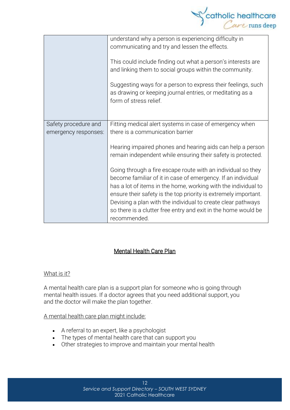

|                                              | understand why a person is experiencing difficulty in<br>communicating and try and lessen the effects.<br>This could include finding out what a person's interests are<br>and linking them to social groups within the community.<br>Suggesting ways for a person to express their feelings, such<br>as drawing or keeping journal entries, or meditating as a<br>form of stress relief. |
|----------------------------------------------|------------------------------------------------------------------------------------------------------------------------------------------------------------------------------------------------------------------------------------------------------------------------------------------------------------------------------------------------------------------------------------------|
| Safety procedure and<br>emergency responses: | Fitting medical alert systems in case of emergency when<br>there is a communication barrier                                                                                                                                                                                                                                                                                              |
|                                              | Hearing impaired phones and hearing aids can help a person<br>remain independent while ensuring their safety is protected.                                                                                                                                                                                                                                                               |
|                                              | Going through a fire escape route with an individual so they<br>become familiar of it in case of emergency. If an individual<br>has a lot of items in the home, working with the individual to<br>ensure their safety is the top priority is extremely important.                                                                                                                        |
|                                              | Devising a plan with the individual to create clear pathways<br>so there is a clutter free entry and exit in the home would be<br>recommended.                                                                                                                                                                                                                                           |

# Mental Health Care Plan

#### What is it?

A mental health care plan is a support plan for someone who is going through mental health issues. If a doctor agrees that you need additional support, you and the doctor will make the plan together.

#### A mental health care plan might include:

- A referral to an expert, like a psychologist
- The types of mental health care that can support you
- Other strategies to improve and maintain your mental health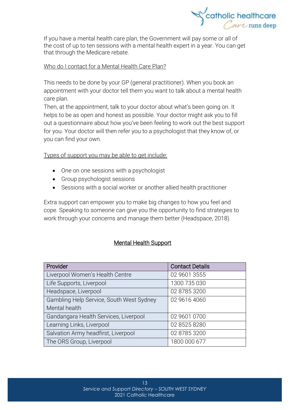

If you have a mental health care plan, the Government will pay some or all of the cost of up to ten sessions with a mental health expert in a year. You can get that through the [Medicare](https://headspace.org.au/blog/how-to-get-a-medicare-card-old/) rebate.

## Who do I contact for a Mental Health Care Plan?

This needs to be done by your GP (general practitioner). When you book an appointment with your doctor tell them you want to talk about a mental health care plan.

Then, at the appointment, talk to your doctor about what's been going on. It helps to be as open and honest as possible. Your doctor might ask you to fill out a questionnaire about how you've been feeling to work out the best support for you. Your doctor will then refer you to a psychologist that they know of, or you can find your own.

Types of support you may be able to get include:

- One on one sessions with a psychologist
- Group psychologist sessions
- Sessions with a social worker or another allied health practitioner

Extra support can empower you to make big changes to how you feel and cope. Speaking to someone can give you the opportunity to find strategies to work through your concerns and manage them better (Headspace, 2018).

# Mental Health Support

| Provider                                 | <b>Contact Details</b> |
|------------------------------------------|------------------------|
| Liverpool Women's Health Centre          | 02 9601 3555           |
| Life Supports, Liverpool                 | 1300 735 030           |
| Headspace, Liverpool                     | 02 8785 3200           |
| Gambling Help Service, South West Sydney | 02 9616 4060           |
| Mental health                            |                        |
| Gandangara Health Services, Liverpool    | 02 9601 0700           |
| Learning Links, Liverpool                | 02 8525 8280           |
| Salvation Army headfirst, Liverpool      | 02 8785 3200           |
| The ORS Group, Liverpool                 | 1800 000 677           |